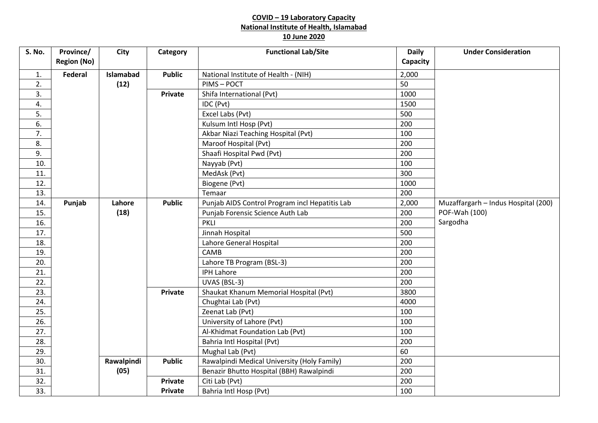## **COVID – 19 Laboratory Capacity National Institute of Health, Islamabad 10 June 2020**

| <b>S. No.</b> | Province/          | <b>City</b> | Category       | <b>Functional Lab/Site</b>                     | <b>Daily</b> | <b>Under Consideration</b>          |
|---------------|--------------------|-------------|----------------|------------------------------------------------|--------------|-------------------------------------|
|               | <b>Region (No)</b> |             |                |                                                | Capacity     |                                     |
| 1.            | <b>Federal</b>     | Islamabad   | <b>Public</b>  | National Institute of Health - (NIH)           | 2,000        |                                     |
| 2.            |                    | (12)        |                | PIMS-POCT                                      | 50           |                                     |
| 3.            |                    |             | Private        | Shifa International (Pvt)                      | 1000         |                                     |
| 4.            |                    |             |                | IDC (Pvt)                                      | 1500         |                                     |
| 5.            |                    |             |                | Excel Labs (Pvt)                               | 500          |                                     |
| 6.            |                    |             |                | Kulsum Intl Hosp (Pvt)                         | 200          |                                     |
| 7.            |                    |             |                | Akbar Niazi Teaching Hospital (Pvt)            | 100          |                                     |
| 8.            |                    |             |                | Maroof Hospital (Pvt)                          | 200          |                                     |
| 9.            |                    |             |                | Shaafi Hospital Pwd (Pvt)                      | 200          |                                     |
| 10.           |                    |             |                | Nayyab (Pvt)                                   | 100          |                                     |
| 11.           |                    |             |                | MedAsk (Pvt)                                   | 300          |                                     |
| 12.           |                    |             |                | Biogene (Pvt)                                  | 1000         |                                     |
| 13.           |                    |             |                | Temaar                                         | 200          |                                     |
| 14.           | Punjab             | Lahore      | <b>Public</b>  | Punjab AIDS Control Program incl Hepatitis Lab | 2,000        | Muzaffargarh - Indus Hospital (200) |
| 15.           |                    | (18)        |                | Punjab Forensic Science Auth Lab               | 200          | POF-Wah (100)                       |
| 16.           |                    |             |                | <b>PKLI</b>                                    | 200          | Sargodha                            |
| 17.           |                    |             |                | Jinnah Hospital                                | 500          |                                     |
| 18.           |                    |             |                | Lahore General Hospital                        | 200          |                                     |
| 19.           |                    |             |                | CAMB                                           | 200          |                                     |
| 20.           |                    |             |                | Lahore TB Program (BSL-3)                      | 200          |                                     |
| 21.           |                    |             |                | <b>IPH Lahore</b>                              | 200          |                                     |
| 22.           |                    |             |                | UVAS (BSL-3)                                   | 200          |                                     |
| 23.           |                    |             | <b>Private</b> | Shaukat Khanum Memorial Hospital (Pvt)         | 3800         |                                     |
| 24.           |                    |             |                | Chughtai Lab (Pvt)                             | 4000         |                                     |
| 25.           |                    |             |                | Zeenat Lab (Pvt)                               | 100          |                                     |
| 26.           |                    |             |                | University of Lahore (Pvt)                     | 100          |                                     |
| 27.           |                    |             |                | Al-Khidmat Foundation Lab (Pvt)                | 100          |                                     |
| 28.           |                    |             |                | Bahria Intl Hospital (Pvt)                     | 200          |                                     |
| 29.           |                    |             |                | Mughal Lab (Pvt)                               | 60           |                                     |
| 30.           |                    | Rawalpindi  | <b>Public</b>  | Rawalpindi Medical University (Holy Family)    | 200          |                                     |
| 31.           |                    | (05)        |                | Benazir Bhutto Hospital (BBH) Rawalpindi       | 200          |                                     |
| 32.           |                    |             | <b>Private</b> | Citi Lab (Pvt)                                 | 200          |                                     |
| 33.           |                    |             | Private        | Bahria Intl Hosp (Pvt)                         | 100          |                                     |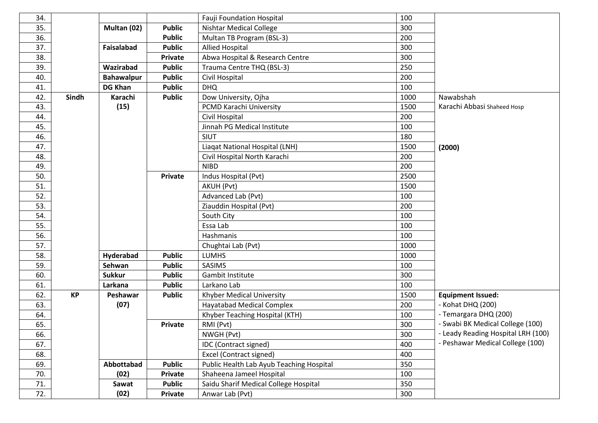| 34. |           |                   |                | <b>Fauji Foundation Hospital</b>         | 100  |                                    |
|-----|-----------|-------------------|----------------|------------------------------------------|------|------------------------------------|
| 35. |           | Multan (02)       | <b>Public</b>  | <b>Nishtar Medical College</b>           | 300  |                                    |
| 36. |           |                   | <b>Public</b>  | Multan TB Program (BSL-3)                | 200  |                                    |
| 37. |           | Faisalabad        | <b>Public</b>  | <b>Allied Hospital</b>                   | 300  |                                    |
| 38. |           |                   | Private        | Abwa Hospital & Research Centre          | 300  |                                    |
| 39. |           | Wazirabad         | <b>Public</b>  | Trauma Centre THQ (BSL-3)                | 250  |                                    |
| 40. |           | <b>Bahawalpur</b> | <b>Public</b>  | Civil Hospital                           | 200  |                                    |
| 41. |           | <b>DG Khan</b>    | <b>Public</b>  | <b>DHQ</b>                               | 100  |                                    |
| 42. | Sindh     | Karachi           | <b>Public</b>  | Dow University, Ojha                     | 1000 | Nawabshah                          |
| 43. |           | (15)              |                | PCMD Karachi University                  | 1500 | Karachi Abbasi Shaheed Hosp        |
| 44. |           |                   |                | Civil Hospital                           | 200  |                                    |
| 45. |           |                   |                | Jinnah PG Medical Institute              | 100  |                                    |
| 46. |           |                   |                | SIUT                                     | 180  |                                    |
| 47. |           |                   |                | Liagat National Hospital (LNH)           | 1500 | (2000)                             |
| 48. |           |                   |                | Civil Hospital North Karachi             | 200  |                                    |
| 49. |           |                   |                | <b>NIBD</b>                              | 200  |                                    |
| 50. |           |                   | Private        | Indus Hospital (Pvt)                     | 2500 |                                    |
| 51. |           |                   |                | AKUH (Pvt)                               | 1500 |                                    |
| 52. |           |                   |                | Advanced Lab (Pvt)                       | 100  |                                    |
| 53. |           |                   |                | Ziauddin Hospital (Pvt)                  | 200  |                                    |
| 54. |           |                   |                | South City                               | 100  |                                    |
| 55. |           |                   |                | Essa Lab                                 | 100  |                                    |
| 56. |           |                   |                | Hashmanis                                | 100  |                                    |
| 57. |           |                   |                | Chughtai Lab (Pvt)                       | 1000 |                                    |
| 58. |           | Hyderabad         | <b>Public</b>  | <b>LUMHS</b>                             | 1000 |                                    |
| 59. |           | Sehwan            | <b>Public</b>  | SASIMS                                   | 100  |                                    |
| 60. |           | <b>Sukkur</b>     | <b>Public</b>  | Gambit Institute                         | 300  |                                    |
| 61. |           | Larkana           | <b>Public</b>  | Larkano Lab                              | 100  |                                    |
| 62. | <b>KP</b> | Peshawar          | <b>Public</b>  | Khyber Medical University                | 1500 | <b>Equipment Issued:</b>           |
| 63. |           | (07)              |                | <b>Hayatabad Medical Complex</b>         | 200  | - Kohat DHQ (200)                  |
| 64. |           |                   |                | Khyber Teaching Hospital (KTH)           | 100  | - Temargara DHQ (200)              |
| 65. |           |                   | Private        | RMI (Pvt)                                | 300  | - Swabi BK Medical College (100)   |
| 66. |           |                   |                | NWGH (Pvt)                               | 300  | - Leady Reading Hospital LRH (100) |
| 67. |           |                   |                | IDC (Contract signed)                    | 400  | - Peshawar Medical College (100)   |
| 68. |           |                   |                | Excel (Contract signed)                  | 400  |                                    |
| 69. |           | Abbottabad        | <b>Public</b>  | Public Health Lab Ayub Teaching Hospital | 350  |                                    |
| 70. |           | (02)              | <b>Private</b> | Shaheena Jameel Hospital                 | 100  |                                    |
| 71. |           | Sawat             | <b>Public</b>  | Saidu Sharif Medical College Hospital    | 350  |                                    |
| 72. |           | (02)              | Private        | Anwar Lab (Pvt)                          | 300  |                                    |